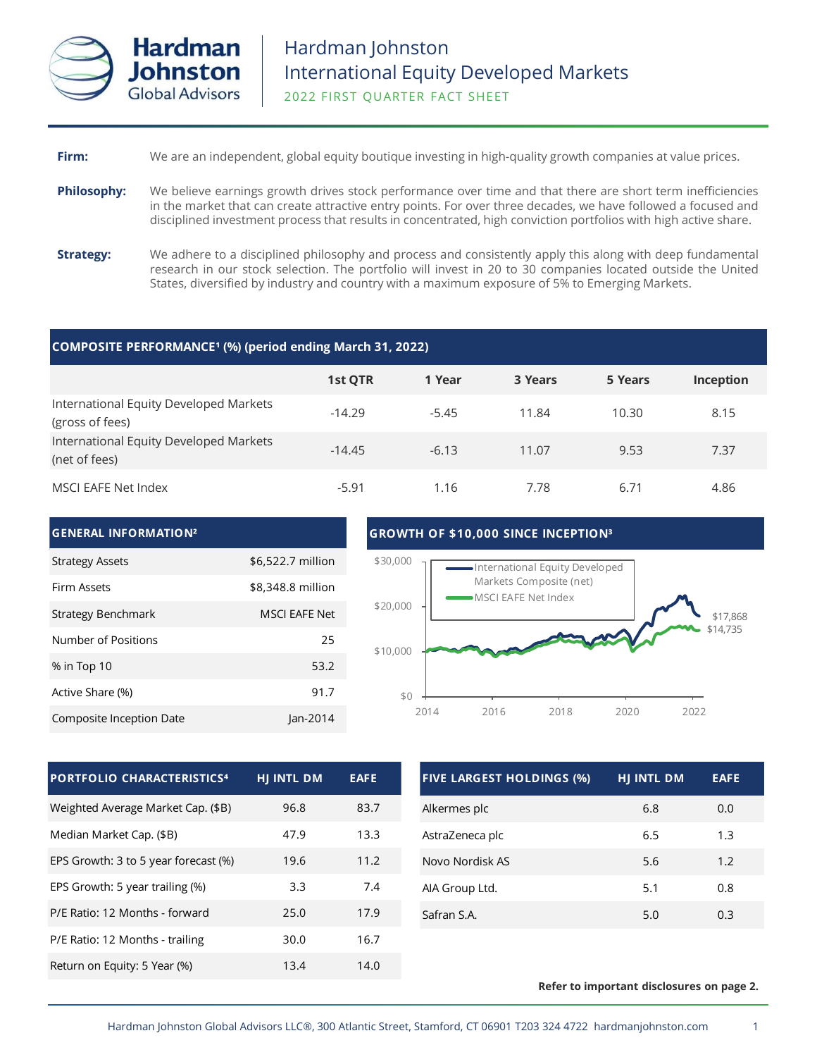

## **Firm:** We are an independent, global equity boutique investing in high-quality growth companies at value prices.

- **Philosophy:** We believe earnings growth drives stock performance over time and that there are short term inefficiencies in the market that can create attractive entry points. For over three decades, we have followed a focused and disciplined investment process that results in concentrated, high conviction portfolios with high active share.
- **Strategy:** We adhere to a disciplined philosophy and process and consistently apply this along with deep fundamental research in our stock selection. The portfolio will invest in 20 to 30 companies located outside the United States, diversified by industry and country with a maximum exposure of 5% to Emerging Markets.

# **COMPOSITE PERFORMANCE¹ (%) (period ending March 31, 2022)**

|                                                           | <b>1st QTR</b> | 1 Year  | 3 Years | 5 Years | Inception |
|-----------------------------------------------------------|----------------|---------|---------|---------|-----------|
| International Equity Developed Markets<br>(gross of fees) | $-14.29$       | $-5.45$ | 11.84   | 10.30   | 8.15      |
| International Equity Developed Markets<br>(net of fees)   | $-14.45$       | $-6.13$ | 11.07   | 9.53    | 7.37      |
| MSCI EAFE Net Index                                       | $-5.91$        | 1.16    | 7.78    | 6.71    | 4.86      |

| <b>GENERAL INFORMATION<sup>2</sup></b> |                      | <b>GROWTH OF \$10,000 SINCE INCEPTION3</b>            |  |  |  |  |
|----------------------------------------|----------------------|-------------------------------------------------------|--|--|--|--|
| <b>Strategy Assets</b>                 | \$6,522.7 million    | \$30,000<br>International Equity Developed            |  |  |  |  |
| Firm Assets                            | \$8,348.8 million    | Markets Composite (net)<br><b>MSCI EAFE Net Index</b> |  |  |  |  |
| Strategy Benchmark                     | <b>MSCI EAFE Net</b> | \$20,000<br>\$17,868                                  |  |  |  |  |
| Number of Positions                    | 25                   | \$14,735<br>\$10,000                                  |  |  |  |  |
| % in Top 10                            | 53.2                 |                                                       |  |  |  |  |
| Active Share (%)                       | 91.7                 | \$0                                                   |  |  |  |  |
| Composite Inception Date               | lan-2014             | 2022<br>2014<br>2016<br>2018<br>2020                  |  |  |  |  |

| <b>PORTFOLIO CHARACTERISTICS4</b>    | <b>HI INTL DM</b> | <b>EAFE</b> |
|--------------------------------------|-------------------|-------------|
| Weighted Average Market Cap. (\$B)   | 96.8              | 83.7        |
| Median Market Cap. (\$B)             | 47.9              | 13.3        |
| EPS Growth: 3 to 5 year forecast (%) | 19.6              | 11.2        |
| EPS Growth: 5 year trailing (%)      | 3.3               | 7.4         |
| P/E Ratio: 12 Months - forward       | 25.0              | 17.9        |
| P/E Ratio: 12 Months - trailing      | 30.0              | 16.7        |
| Return on Equity: 5 Year (%)         | 13.4              | 14.0        |

| <b>FIVE LARGEST HOLDINGS (%)</b> | <b>HJ INTL DM</b> | <b>EAFE</b> |  |
|----------------------------------|-------------------|-------------|--|
| Alkermes plc                     | 6.8               | 0.0         |  |
| AstraZeneca plc                  | 6.5               | 1.3         |  |
| Novo Nordisk AS                  | 5.6               | 1.2         |  |
| AIA Group Ltd.                   | 5.1               | 0.8         |  |
| Safran S.A.                      | 5.0               | 0.3         |  |

#### **Refer to important disclosures on page 2.**